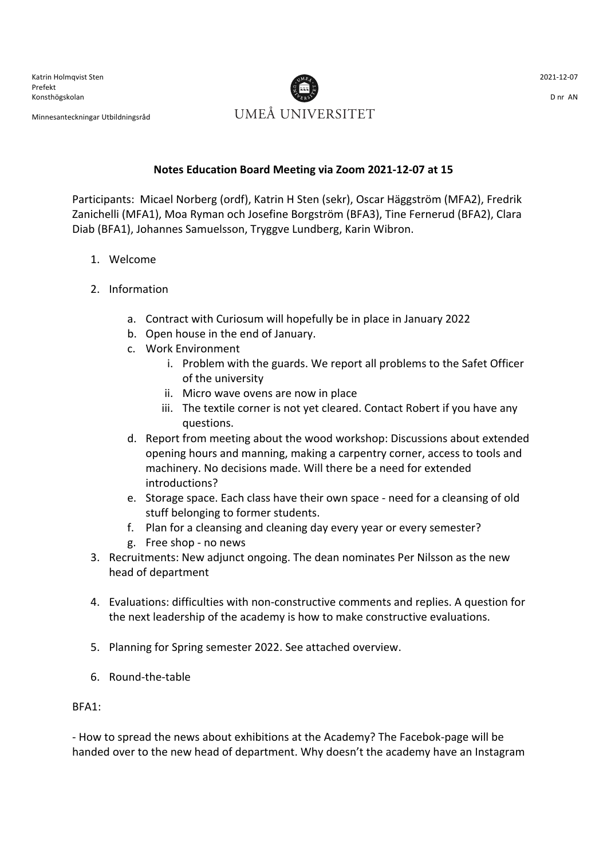Katrin Holmqvist Sten Prefekt Konsthögskolan

Minnesanteckningar Utbildningsråd



D nr AN

## **Notes Education Board Meeting via Zoom 2021-12-07 at 15**

Participants: Micael Norberg (ordf), Katrin H Sten (sekr), Oscar Häggström (MFA2), Fredrik Zanichelli (MFA1), Moa Ryman och Josefine Borgström (BFA3), Tine Fernerud (BFA2), Clara Diab (BFA1), Johannes Samuelsson, Tryggve Lundberg, Karin Wibron.

- 1. Welcome
- 2. Information
	- a. Contract with Curiosum will hopefully be in place in January 2022
	- b. Open house in the end of January.
	- c. Work Environment
		- i. Problem with the guards. We report all problems to the Safet Officer of the university
		- ii. Micro wave ovens are now in place
		- iii. The textile corner is not yet cleared. Contact Robert if you have any questions.
	- d. Report from meeting about the wood workshop: Discussions about extended opening hours and manning, making a carpentry corner, access to tools and machinery. No decisions made. Will there be a need for extended introductions?
	- e. Storage space. Each class have their own space need for a cleansing of old stuff belonging to former students.
	- f. Plan for a cleansing and cleaning day every year or every semester?
	- g. Free shop no news
- 3. Recruitments: New adjunct ongoing. The dean nominates Per Nilsson as the new head of department
- 4. Evaluations: difficulties with non-constructive comments and replies. A question for the next leadership of the academy is how to make constructive evaluations.
- 5. Planning for Spring semester 2022. See attached overview.
- 6. Round-the-table

BFA1:

- How to spread the news about exhibitions at the Academy? The Facebok-page will be handed over to the new head of department. Why doesn't the academy have an Instagram